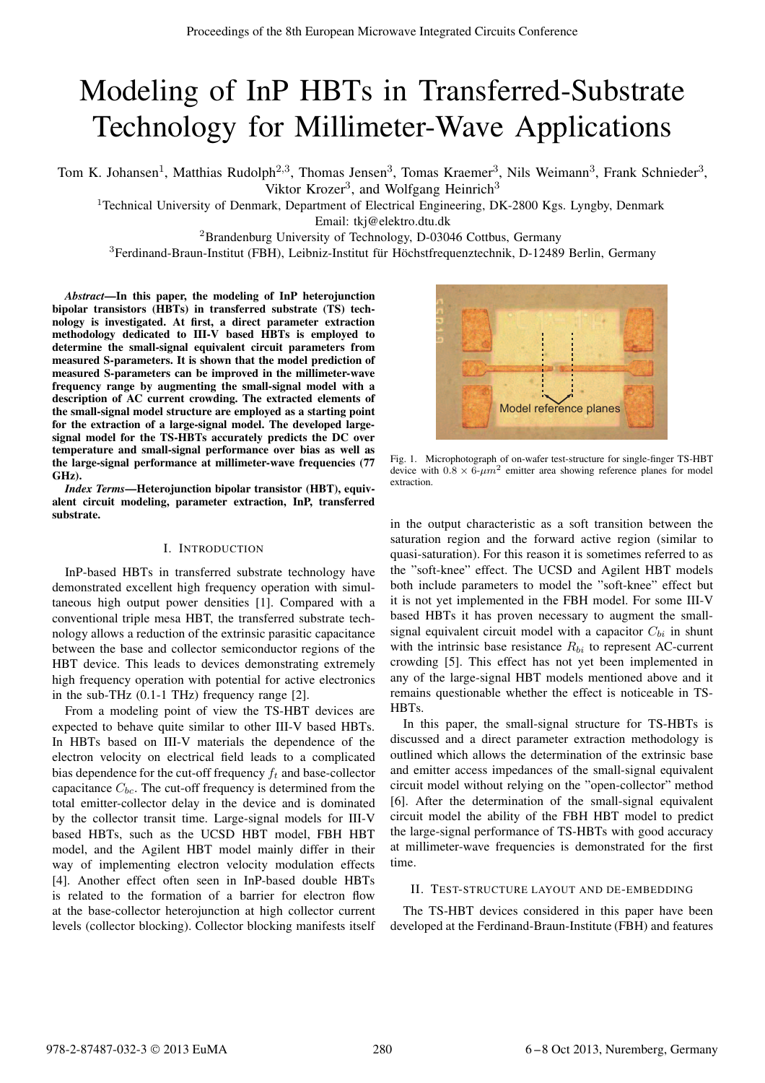# Modeling of InP HBTs in Transferred-Substrate Technology for Millimeter-Wave Applications

Tom K. Johansen<sup>1</sup>, Matthias Rudolph<sup>2,3</sup>, Thomas Jensen<sup>3</sup>, Tomas Kraemer<sup>3</sup>, Nils Weimann<sup>3</sup>, Frank Schnieder<sup>3</sup>, Viktor Krozer<sup>3</sup>, and Wolfgang Heinrich<sup>3</sup>

<sup>1</sup>Technical University of Denmark, Department of Electrical Engineering, DK-2800 Kgs. Lyngby, Denmark

Email: tkj@elektro.dtu.dk

<sup>2</sup>Brandenburg University of Technology, D-03046 Cottbus, Germany

 $3$ Ferdinand-Braun-Institut (FBH), Leibniz-Institut für Höchstfrequenztechnik, D-12489 Berlin, Germany

*Abstract*—In this paper, the modeling of InP heterojunction bipolar transistors (HBTs) in transferred substrate (TS) technology is investigated. At first, a direct parameter extraction methodology dedicated to III-V based HBTs is employed to determine the small-signal equivalent circuit parameters from measured S-parameters. It is shown that the model prediction of measured S-parameters can be improved in the millimeter-wave frequency range by augmenting the small-signal model with a description of AC current crowding. The extracted elements of the small-signal model structure are employed as a starting point for the extraction of a large-signal model. The developed largesignal model for the TS-HBTs accurately predicts the DC over temperature and small-signal performance over bias as well as the large-signal performance at millimeter-wave frequencies (77 GHz).

*Index Terms*—Heterojunction bipolar transistor (HBT), equivalent circuit modeling, parameter extraction, InP, transferred substrate.

## I. INTRODUCTION

InP-based HBTs in transferred substrate technology have demonstrated excellent high frequency operation with simultaneous high output power densities [1]. Compared with a conventional triple mesa HBT, the transferred substrate technology allows a reduction of the extrinsic parasitic capacitance between the base and collector semiconductor regions of the HBT device. This leads to devices demonstrating extremely high frequency operation with potential for active electronics in the sub-THz (0.1-1 THz) frequency range [2].

From a modeling point of view the TS-HBT devices are expected to behave quite similar to other III-V based HBTs. In HBTs based on III-V materials the dependence of the electron velocity on electrical field leads to a complicated bias dependence for the cut-off frequency  $f_t$  and base-collector capacitance  $C_{bc}$ . The cut-off frequency is determined from the total emitter-collector delay in the device and is dominated by the collector transit time. Large-signal models for III-V based HBTs, such as the UCSD HBT model, FBH HBT model, and the Agilent HBT model mainly differ in their way of implementing electron velocity modulation effects [4]. Another effect often seen in InP-based double HBTs is related to the formation of a barrier for electron flow at the base-collector heterojunction at high collector current levels (collector blocking). Collector blocking manifests itself



Fig. 1. Microphotograph of on-wafer test-structure for single-finger TS-HBT device with  $0.8 \times 6 \cdot \mu m^2$  emitter area showing reference planes for model extraction.

in the output characteristic as a soft transition between the saturation region and the forward active region (similar to quasi-saturation). For this reason it is sometimes referred to as the "soft-knee" effect. The UCSD and Agilent HBT models both include parameters to model the "soft-knee" effect but it is not yet implemented in the FBH model. For some III-V based HBTs it has proven necessary to augment the smallsignal equivalent circuit model with a capacitor  $C_{bi}$  in shunt with the intrinsic base resistance  $R_{bi}$  to represent AC-current crowding [5]. This effect has not yet been implemented in any of the large-signal HBT models mentioned above and it remains questionable whether the effect is noticeable in TS-HBTs.

In this paper, the small-signal structure for TS-HBTs is discussed and a direct parameter extraction methodology is outlined which allows the determination of the extrinsic base and emitter access impedances of the small-signal equivalent circuit model without relying on the "open-collector" method [6]. After the determination of the small-signal equivalent circuit model the ability of the FBH HBT model to predict the large-signal performance of TS-HBTs with good accuracy at millimeter-wave frequencies is demonstrated for the first time.

#### II. TEST-STRUCTURE LAYOUT AND DE-EMBEDDING

The TS-HBT devices considered in this paper have been developed at the Ferdinand-Braun-Institute (FBH) and features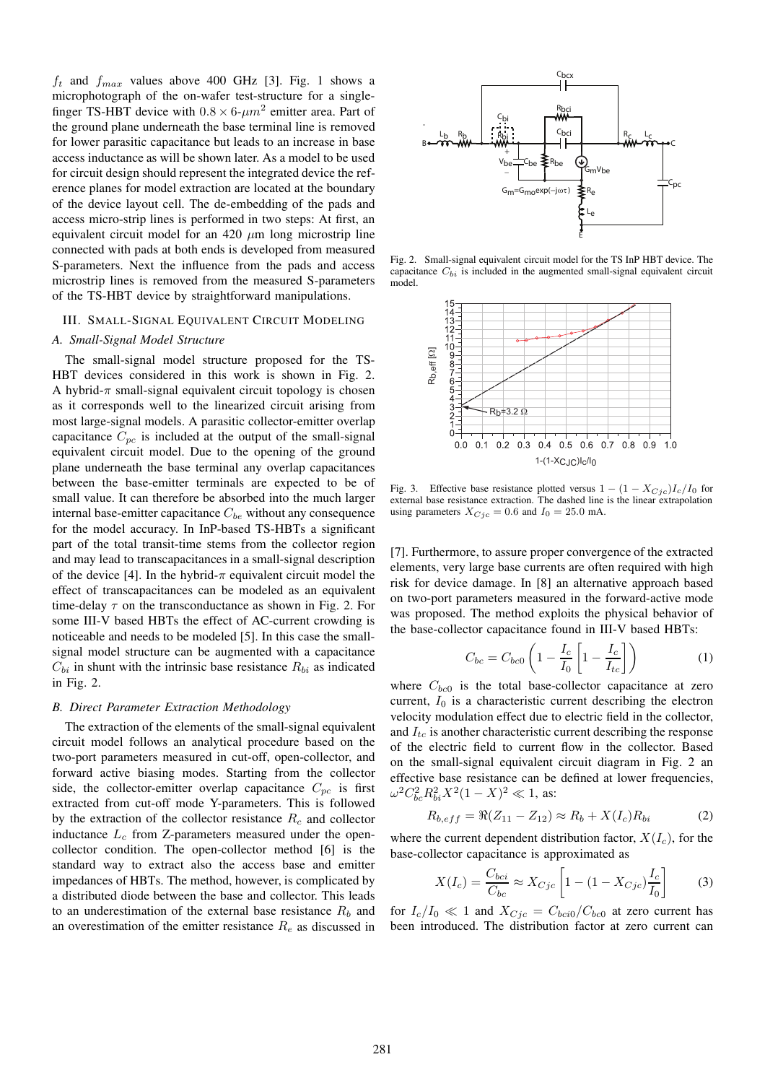$f_t$  and  $f_{max}$  values above 400 GHz [3]. Fig. 1 shows a microphotograph of the on-wafer test-structure for a singlefinger TS-HBT device with  $0.8 \times 6$ - $\mu$ m<sup>2</sup> emitter area. Part of the ground plane underneath the base terminal line is removed for lower parasitic capacitance but leads to an increase in base access inductance as will be shown later. As a model to be used for circuit design should represent the integrated device the reference planes for model extraction are located at the boundary of the device layout cell. The de-embedding of the pads and access micro-strip lines is performed in two steps: At first, an equivalent circuit model for an  $420 \mu m$  long microstrip line connected with pads at both ends is developed from measured S-parameters. Next the influence from the pads and access microstrip lines is removed from the measured S-parameters of the TS-HBT device by straightforward manipulations.

## III. SMALL-SIGNAL EQUIVALENT CIRCUIT MODELING

# *A. Small-Signal Model Structure*

The small-signal model structure proposed for the TS-HBT devices considered in this work is shown in Fig. 2. A hybrid- $\pi$  small-signal equivalent circuit topology is chosen as it corresponds well to the linearized circuit arising from most large-signal models. A parasitic collector-emitter overlap capacitance  $C_{pc}$  is included at the output of the small-signal equivalent circuit model. Due to the opening of the ground plane underneath the base terminal any overlap capacitances between the base-emitter terminals are expected to be of small value. It can therefore be absorbed into the much larger internal base-emitter capacitance  $C_{be}$  without any consequence for the model accuracy. In InP-based TS-HBTs a significant part of the total transit-time stems from the collector region and may lead to transcapacitances in a small-signal description of the device [4]. In the hybrid- $\pi$  equivalent circuit model the effect of transcapacitances can be modeled as an equivalent time-delay  $\tau$  on the transconductance as shown in Fig. 2. For some III-V based HBTs the effect of AC-current crowding is noticeable and needs to be modeled [5]. In this case the smallsignal model structure can be augmented with a capacitance  $C_{bi}$  in shunt with the intrinsic base resistance  $R_{bi}$  as indicated in Fig. 2.

#### *B. Direct Parameter Extraction Methodology*

The extraction of the elements of the small-signal equivalent circuit model follows an analytical procedure based on the two-port parameters measured in cut-off, open-collector, and forward active biasing modes. Starting from the collector side, the collector-emitter overlap capacitance  $C_{pc}$  is first extracted from cut-off mode Y-parameters. This is followed by the extraction of the collector resistance  $R_c$  and collector inductance  $L_c$  from Z-parameters measured under the opencollector condition. The open-collector method [6] is the standard way to extract also the access base and emitter impedances of HBTs. The method, however, is complicated by a distributed diode between the base and collector. This leads to an underestimation of the external base resistance  $R_b$  and an overestimation of the emitter resistance  $R_e$  as discussed in



Fig. 2. Small-signal equivalent circuit model for the TS InP HBT device. The capacitance C*bi* is included in the augmented small-signal equivalent circuit model.



Fig. 3. Effective base resistance plotted versus  $1 - (1 - X_{Cic})I_c/I_0$  for external base resistance extraction. The dashed line is the linear extrapolation using parameters  $X_{Cic} = 0.6$  and  $I_0 = 25.0$  mA.

[7]. Furthermore, to assure proper convergence of the extracted elements, very large base currents are often required with high risk for device damage. In [8] an alternative approach based on two-port parameters measured in the forward-active mode was proposed. The method exploits the physical behavior of the base-collector capacitance found in III-V based HBTs:

$$
C_{bc} = C_{bc0} \left( 1 - \frac{I_c}{I_0} \left[ 1 - \frac{I_c}{I_{tc}} \right] \right) \tag{1}
$$

where  $C_{bc0}$  is the total base-collector capacitance at zero current,  $I_0$  is a characteristic current describing the electron velocity modulation effect due to electric field in the collector, and  $I_{tc}$  is another characteristic current describing the response of the electric field to current flow in the collector. Based on the small-signal equivalent circuit diagram in Fig. 2 an effective base resistance can be defined at lower frequencies,  $\omega^2 C_{bc}^2 R_{bi}^2 X^2 (1-X)^2 \ll 1$ , as:

$$
R_{b,eff} = \Re(Z_{11} - Z_{12}) \approx R_b + X(I_c)R_{bi}
$$
 (2)

where the current dependent distribution factor,  $X(I_c)$ , for the base-collector capacitance is approximated as

$$
X(I_c) = \frac{C_{bci}}{C_{bc}} \approx X_{Cjc} \left[ 1 - (1 - X_{Cjc}) \frac{I_c}{I_0} \right]
$$
 (3)

for  $I_c/I_0 \ll 1$  and  $X_{Cjc} = C_{bci0}/C_{bc0}$  at zero current has been introduced. The distribution factor at zero current can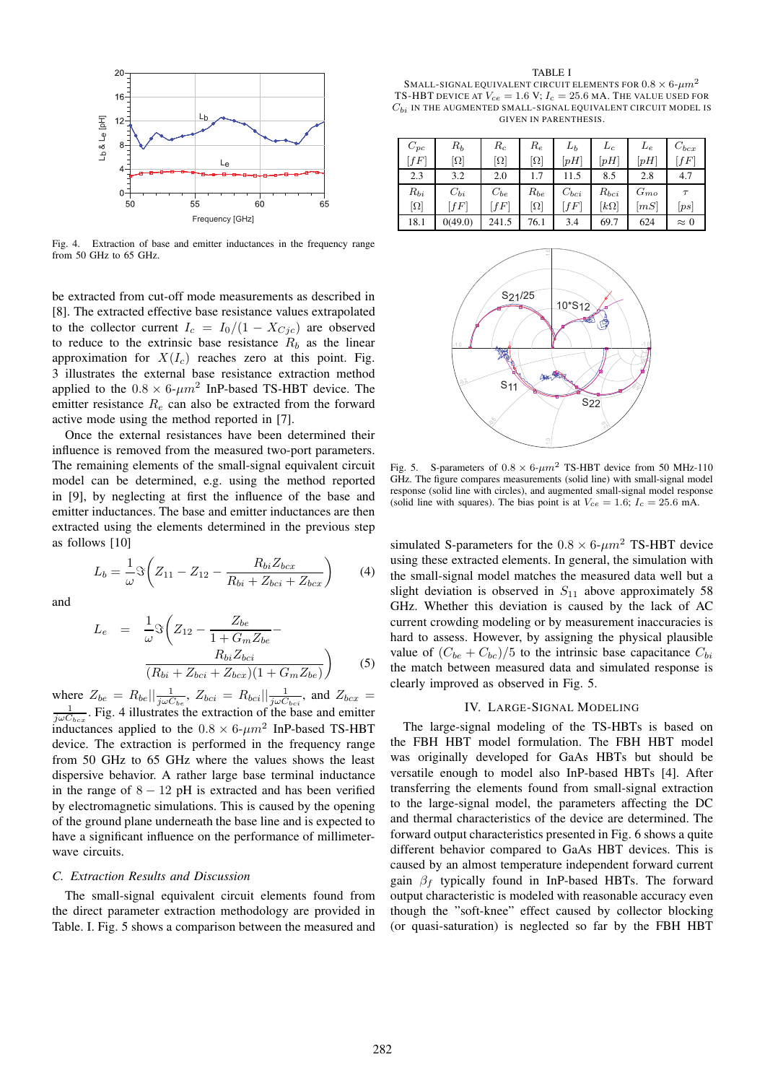

Fig. 4. Extraction of base and emitter inductances in the frequency range from 50 GHz to 65 GHz.

be extracted from cut-off mode measurements as described in [8]. The extracted effective base resistance values extrapolated to the collector current  $I_c = I_0/(1 - X_{Cic})$  are observed to reduce to the extrinsic base resistance  $R_b$  as the linear approximation for  $X(I_c)$  reaches zero at this point. Fig. 3 illustrates the external base resistance extraction method applied to the  $0.8 \times 6$ - $\mu$ m<sup>2</sup> InP-based TS-HBT device. The emitter resistance  $R_e$  can also be extracted from the forward active mode using the method reported in [7].

Once the external resistances have been determined their influence is removed from the measured two-port parameters. The remaining elements of the small-signal equivalent circuit model can be determined, e.g. using the method reported in [9], by neglecting at first the influence of the base and emitter inductances. The base and emitter inductances are then extracted using the elements determined in the previous step as follows [10]

$$
L_b = \frac{1}{\omega} \Im \left( Z_{11} - Z_{12} - \frac{R_{bi} Z_{bcx}}{R_{bi} + Z_{bci} + Z_{bcx}} \right)
$$
 (4)

and

$$
L_e = \frac{1}{\omega} \Im \left( Z_{12} - \frac{Z_{be}}{1 + G_m Z_{be}} - \frac{R_{bi} Z_{bci}}{(R_{bi} + Z_{bci} + Z_{bcx})(1 + G_m Z_{be})} \right)
$$
(5)

where  $Z_{be} = R_{be} || \frac{1}{j\omega C_{be}}, Z_{bci} = R_{bci} || \frac{1}{j\omega C_{bci}},$  and  $Z_{bcx} =$ <br> $\frac{1}{j\omega C_{bei}}$  Fig. 4 illustrates the extraction of the base and emitter  $\frac{1}{j\omega C_{bcx}}$ . Fig. 4 illustrates the extraction of the base and emitter inductances applied to the  $0.8 \times 6 \text{-} \mu m^2$  InP-based TS-HBT device. The extraction is performed in the frequency range from 50 GHz to 65 GHz where the values shows the least dispersive behavior. A rather large base terminal inductance in the range of  $8 - 12$  pH is extracted and has been verified by electromagnetic simulations. This is caused by the opening of the ground plane underneath the base line and is expected to have a significant influence on the performance of millimeterwave circuits.

#### *C. Extraction Results and Discussion*

The small-signal equivalent circuit elements found from the direct parameter extraction methodology are provided in Table. I. Fig. 5 shows a comparison between the measured and

TABLE I SMALL-SIGNAL EQUIVALENT CIRCUIT ELEMENTS FOR  $0.8 \times 6$ - $\mu m^2$ TS-HBT DEVICE AT  $V_{ce} = 1.6$  V;  $I_c = 25.6$  MA. The value used for  $C_{bi}$  IN THE AUGMENTED SMALL-SIGNAL EQUIVALENT CIRCUIT MODEL IS GIVEN IN PARENTHESIS.

| $C_{pc}$                | $R_b$               | $R_c$                   | $R_e$    | $L_b$     | $L_c$               | $L_{e}$  | $C_{bcx}$   |
|-------------------------|---------------------|-------------------------|----------|-----------|---------------------|----------|-------------|
| $[{{\mathbb f} F}]$     | [Ω]                 | $\left[ \Omega \right]$ | Ω]       | [ pH]     | $\lbrack pH\rbrack$ |          | [fF]        |
| 2.3                     | 3.2                 | 2.0                     | 1.7      | 11.5      | 8.5                 | 2.8      | 4.7         |
| $R_{bi}$                | $C_{bi}$            | $C_{be}$                | $R_{be}$ | $C_{bci}$ | $R_{bci}$           | $G_{mo}$ | $\tau$      |
| $\left[ \Omega \right]$ | $[{{\mathbb f} F}]$ | $\int f F$              | Ω]       | fF        | $[k\Omega]$         | [mS]     | ps          |
| 18.1                    | 0(49.0)             | 241.5                   | 76.1     | 3.4       | 69.7                | 624      | $\approx 0$ |



Fig. 5. S-parameters of  $0.8 \times 6 \text{-} \mu m^2$  TS-HBT device from 50 MHz-110 GHz. The figure compares measurements (solid line) with small-signal model response (solid line with circles), and augmented small-signal model response (solid line with squares). The bias point is at  $V_{ce} = 1.6$ ;  $I_c = 25.6$  mA.

simulated S-parameters for the  $0.8 \times 6 \text{-} \mu m^2$  TS-HBT device using these extracted elements. In general, the simulation with the small-signal model matches the measured data well but a slight deviation is observed in  $S_{11}$  above approximately 58 GHz. Whether this deviation is caused by the lack of AC current crowding modeling or by measurement inaccuracies is hard to assess. However, by assigning the physical plausible value of  $(C_{be} + C_{bc})/5$  to the intrinsic base capacitance  $C_{bi}$ the match between measured data and simulated response is clearly improved as observed in Fig. 5.

## IV. LARGE-SIGNAL MODELING

The large-signal modeling of the TS-HBTs is based on the FBH HBT model formulation. The FBH HBT model was originally developed for GaAs HBTs but should be versatile enough to model also InP-based HBTs [4]. After transferring the elements found from small-signal extraction to the large-signal model, the parameters affecting the DC and thermal characteristics of the device are determined. The forward output characteristics presented in Fig. 6 shows a quite different behavior compared to GaAs HBT devices. This is caused by an almost temperature independent forward current gain  $\beta_f$  typically found in InP-based HBTs. The forward output characteristic is modeled with reasonable accuracy even though the "soft-knee" effect caused by collector blocking (or quasi-saturation) is neglected so far by the FBH HBT